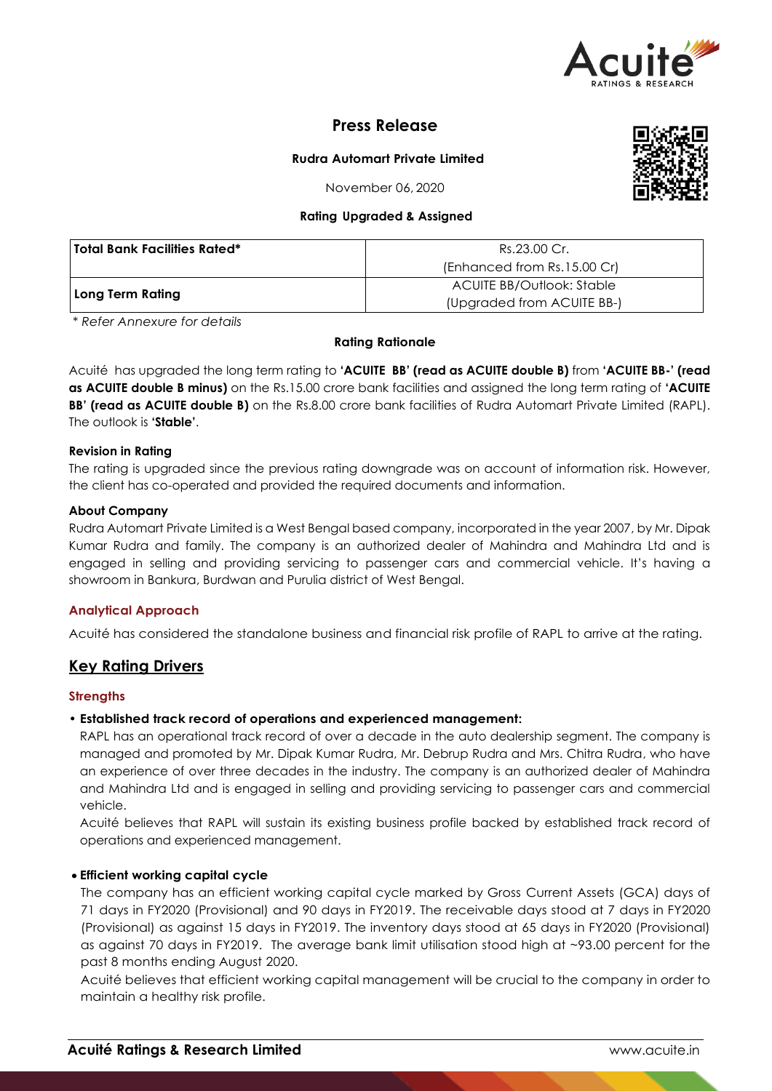

# **Press Release**

# **Rudra Automart Private Limited**

November 06, 2020

### **Rating Upgraded & Assigned**

| <b>Total Bank Facilities Rated*</b> | Rs.23.00 Cr.                |  |  |
|-------------------------------------|-----------------------------|--|--|
|                                     | (Enhanced from Rs.15.00 Cr) |  |  |
|                                     | ACUITE BB/Outlook: Stable   |  |  |
| Long Term Rating                    | (Upgraded from ACUITE BB-)  |  |  |

*\* Refer Annexure for details*

#### **Rating Rationale**

Acuité has upgraded the long term rating to **'ACUITE BB' (read as ACUITE double B)** from **'ACUITE BB-' (read as ACUITE double B minus)** on the Rs.15.00 crore bank facilities and assigned the long term rating of **'ACUITE BB' (read as ACUITE double B)** on the Rs.8.00 crore bank facilities of Rudra Automart Private Limited (RAPL). The outlook is **'Stable'**.

### **Revision in Rating**

The rating is upgraded since the previous rating downgrade was on account of information risk. However, the client has co-operated and provided the required documents and information.

### **About Company**

Rudra Automart Private Limited is a West Bengal based company, incorporated in the year 2007, by Mr. Dipak Kumar Rudra and family. The company is an authorized dealer of Mahindra and Mahindra Ltd and is engaged in selling and providing servicing to passenger cars and commercial vehicle. It's having a showroom in Bankura, Burdwan and Purulia district of West Bengal.

# **Analytical Approach**

Acuité has considered the standalone business and financial risk profile of RAPL to arrive at the rating.

# **Key Rating Drivers**

# **Strengths**

# • **Established track record of operations and experienced management:**

RAPL has an operational track record of over a decade in the auto dealership segment. The company is managed and promoted by Mr. Dipak Kumar Rudra, Mr. Debrup Rudra and Mrs. Chitra Rudra, who have an experience of over three decades in the industry. The company is an authorized dealer of Mahindra and Mahindra Ltd and is engaged in selling and providing servicing to passenger cars and commercial vehicle.

Acuité believes that RAPL will sustain its existing business profile backed by established track record of operations and experienced management.

# **Efficient working capital cycle**

The company has an efficient working capital cycle marked by Gross Current Assets (GCA) days of 71 days in FY2020 (Provisional) and 90 days in FY2019. The receivable days stood at 7 days in FY2020 (Provisional) as against 15 days in FY2019. The inventory days stood at 65 days in FY2020 (Provisional) as against 70 days in FY2019. The average bank limit utilisation stood high at ~93.00 percent for the past 8 months ending August 2020.

Acuité believes that efficient working capital management will be crucial to the company in order to maintain a healthy risk profile.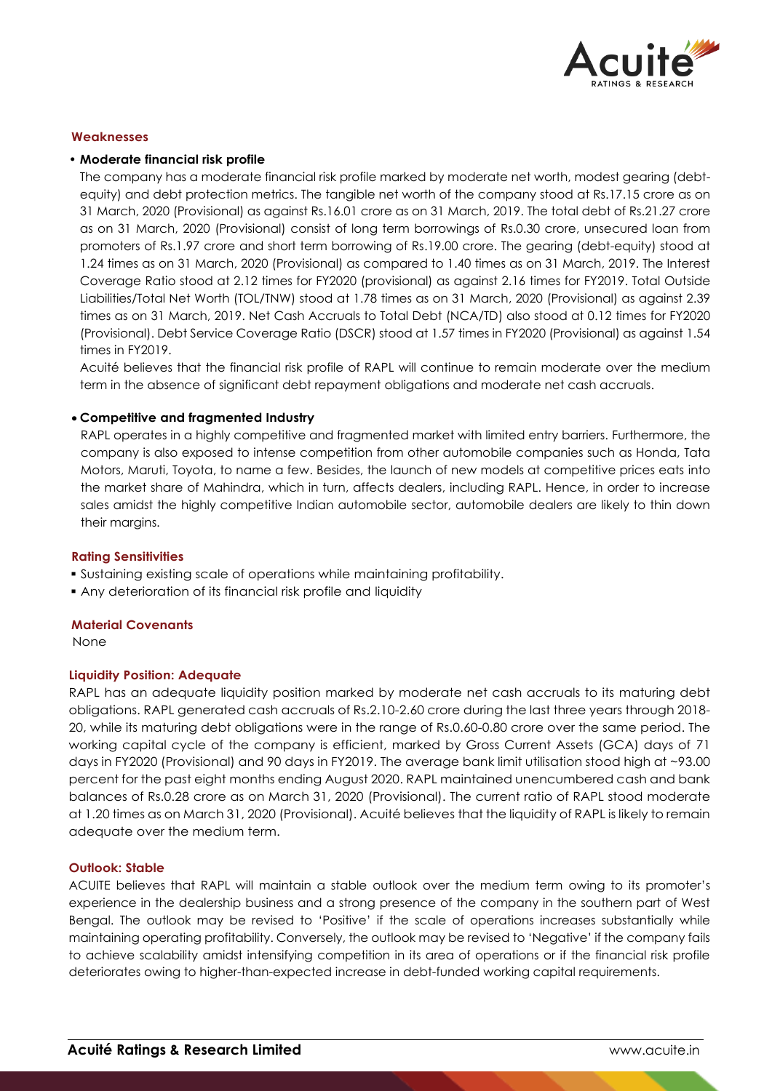

### **Weaknesses**

### • **Moderate financial risk profile**

The company has a moderate financial risk profile marked by moderate net worth, modest gearing (debtequity) and debt protection metrics. The tangible net worth of the company stood at Rs.17.15 crore as on 31 March, 2020 (Provisional) as against Rs.16.01 crore as on 31 March, 2019. The total debt of Rs.21.27 crore as on 31 March, 2020 (Provisional) consist of long term borrowings of Rs.0.30 crore, unsecured loan from promoters of Rs.1.97 crore and short term borrowing of Rs.19.00 crore. The gearing (debt-equity) stood at 1.24 times as on 31 March, 2020 (Provisional) as compared to 1.40 times as on 31 March, 2019. The Interest Coverage Ratio stood at 2.12 times for FY2020 (provisional) as against 2.16 times for FY2019. Total Outside Liabilities/Total Net Worth (TOL/TNW) stood at 1.78 times as on 31 March, 2020 (Provisional) as against 2.39 times as on 31 March, 2019. Net Cash Accruals to Total Debt (NCA/TD) also stood at 0.12 times for FY2020 (Provisional). Debt Service Coverage Ratio (DSCR) stood at 1.57 times in FY2020 (Provisional) as against 1.54 times in FY2019.

Acuité believes that the financial risk profile of RAPL will continue to remain moderate over the medium term in the absence of significant debt repayment obligations and moderate net cash accruals.

### **Competitive and fragmented Industry**

RAPL operates in a highly competitive and fragmented market with limited entry barriers. Furthermore, the company is also exposed to intense competition from other automobile companies such as Honda, Tata Motors, Maruti, Toyota, to name a few. Besides, the launch of new models at competitive prices eats into the market share of Mahindra, which in turn, affects dealers, including RAPL. Hence, in order to increase sales amidst the highly competitive Indian automobile sector, automobile dealers are likely to thin down their margins.

#### **Rating Sensitivities**

- Sustaining existing scale of operations while maintaining profitability.
- Any deterioration of its financial risk profile and liquidity

#### **Material Covenants**

None

#### **Liquidity Position: Adequate**

RAPL has an adequate liquidity position marked by moderate net cash accruals to its maturing debt obligations. RAPL generated cash accruals of Rs.2.10-2.60 crore during the last three years through 2018- 20, while its maturing debt obligations were in the range of Rs.0.60-0.80 crore over the same period. The working capital cycle of the company is efficient, marked by Gross Current Assets (GCA) days of 71 days in FY2020 (Provisional) and 90 days in FY2019. The average bank limit utilisation stood high at ~93.00 percent for the past eight months ending August 2020. RAPL maintained unencumbered cash and bank balances of Rs.0.28 crore as on March 31, 2020 (Provisional). The current ratio of RAPL stood moderate at 1.20 times as on March 31, 2020 (Provisional). Acuité believes that the liquidity of RAPL is likely to remain adequate over the medium term.

#### **Outlook: Stable**

ACUITE believes that RAPL will maintain a stable outlook over the medium term owing to its promoter's experience in the dealership business and a strong presence of the company in the southern part of West Bengal. The outlook may be revised to 'Positive' if the scale of operations increases substantially while maintaining operating profitability. Conversely, the outlook may be revised to 'Negative' if the company fails to achieve scalability amidst intensifying competition in its area of operations or if the financial risk profile deteriorates owing to higher-than-expected increase in debt-funded working capital requirements.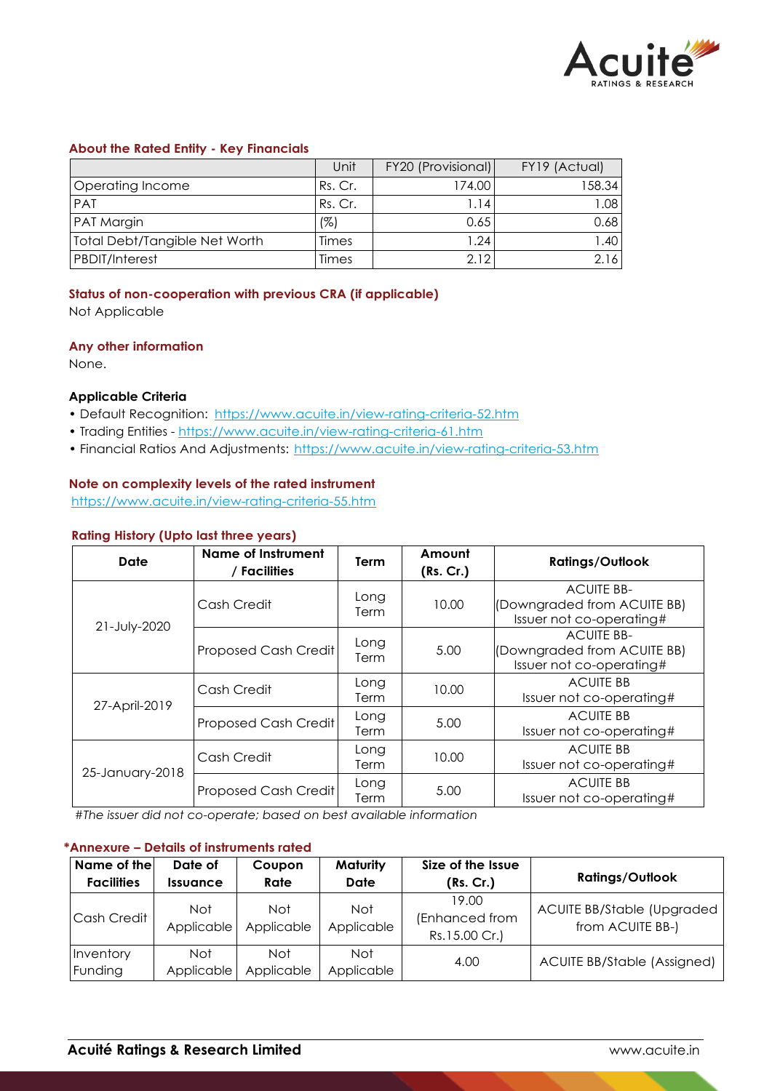

### **About the Rated Entity - Key Financials**

|                               | Unit    | FY20 (Provisional)   | FY19 (Actual) |
|-------------------------------|---------|----------------------|---------------|
| Operating Income              | Rs. Cr. | 174.00               | 158.34        |
| <b>PAT</b>                    | Rs. Cr. | l.14                 | 1.08          |
| <b>PAT Margin</b>             | (%)     | 0.65                 | 0.68          |
| Total Debt/Tangible Net Worth | Times   | $\left  .24 \right $ | .40           |
| <b>PBDIT/Interest</b>         | Times   | 2.12                 | 2.16          |

# **Status of non-cooperation with previous CRA (if applicable)**

Not Applicable

# **Any other information**

None.

# **Applicable Criteria**

- Default Recognition: https://www.acuite.in/view-rating-criteria-52.htm
- Trading Entities https://www.acuite.in/view-rating-criteria-61.htm
- Financial Ratios And Adjustments: https://www.acuite.in/view-rating-criteria-53.htm

### **Note on complexity levels of the rated instrument**

https://www.acuite.in/view-rating-criteria-55.htm

### **Rating History (Upto last three years)**

| Date            | <b>Name of Instrument</b><br>/ Facilities | <b>Term</b>  | Amount<br>(Rs. Cr.) | <b>Ratings/Outlook</b>                                                       |
|-----------------|-------------------------------------------|--------------|---------------------|------------------------------------------------------------------------------|
| 21-July-2020    | Cash Credit                               | Long<br>Term | 10.00               | <b>ACUITE BB-</b><br>(Downgraded from ACUITE BB)<br>Issuer not co-operating# |
|                 | Proposed Cash Credit                      | Long<br>Term | 5.00                | <b>ACUITE BB-</b><br>(Downgraded from ACUITE BB)<br>Issuer not co-operating# |
| 27-April-2019   | Cash Credit                               | Long<br>Term | 10.00               | <b>ACUITE BB</b><br>Issuer not co-operating#                                 |
|                 | Proposed Cash Credit                      | Long<br>Term | 5.00                | <b>ACUITE BB</b><br>Issuer not co-operating#                                 |
| 25-January-2018 | Cash Credit                               | Long<br>Term | 10.00               | <b>ACUITE BB</b><br>Issuer not co-operating#                                 |
|                 | Proposed Cash Credit                      | Long<br>Term | 5.00                | <b>ACUITE BB</b><br>Issuer not co-operating#                                 |

*#The issuer did not co-operate; based on best available information*

### **\*Annexure – Details of instruments rated**

| Name of the<br><b>Facilities</b> | Date of<br><b>Issuance</b> | Coupon<br>Rate           | <b>Maturity</b><br>Date | Size of the Issue<br>(Rs. Cr.)           | <b>Ratings/Outlook</b>                         |
|----------------------------------|----------------------------|--------------------------|-------------------------|------------------------------------------|------------------------------------------------|
| Cash Credit                      | Not<br>Applicable          | <b>Not</b><br>Applicable | Not<br>Applicable       | 19.00<br>(Enhanced from<br>Rs.15.00 Cr.) | ACUITE BB/Stable (Upgraded<br>from ACUITE BB-) |
| Inventory<br>Funding             | <b>Not</b><br>Applicable   | Not<br>Applicable        | Not.<br>Applicable      | 4.00                                     | <b>ACUITE BB/Stable (Assigned)</b>             |